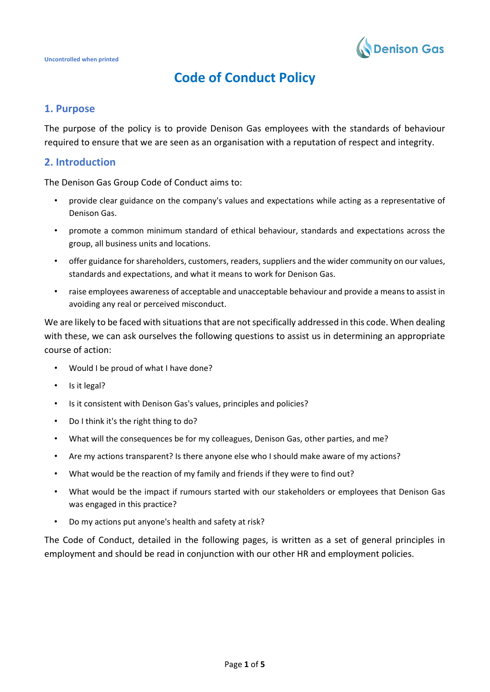

# **Code of Conduct Policy**

# **1. Purpose**

The purpose of the policy is to provide Denison Gas employees with the standards of behaviour required to ensure that we are seen as an organisation with a reputation of respect and integrity.

## **2. Introduction**

The Denison Gas Group Code of Conduct aims to:

- provide clear guidance on the company's values and expectations while acting as a representative of Denison Gas.
- promote a common minimum standard of ethical behaviour, standards and expectations across the group, all business units and locations.
- offer guidance for shareholders, customers, readers, suppliers and the wider community on our values, standards and expectations, and what it means to work for Denison Gas.
- raise employees awareness of acceptable and unacceptable behaviour and provide a means to assist in avoiding any real or perceived misconduct.

We are likely to be faced with situations that are not specifically addressed in this code. When dealing with these, we can ask ourselves the following questions to assist us in determining an appropriate course of action:

- Would I be proud of what I have done?
- Is it legal?
- Is it consistent with Denison Gas's values, principles and policies?
- Do I think it's the right thing to do?
- What will the consequences be for my colleagues, Denison Gas, other parties, and me?
- Are my actions transparent? Is there anyone else who I should make aware of my actions?
- What would be the reaction of my family and friends if they were to find out?
- What would be the impact if rumours started with our stakeholders or employees that Denison Gas was engaged in this practice?
- Do my actions put anyone's health and safety at risk?

The Code of Conduct, detailed in the following pages, is written as a set of general principles in employment and should be read in conjunction with our other HR and employment policies.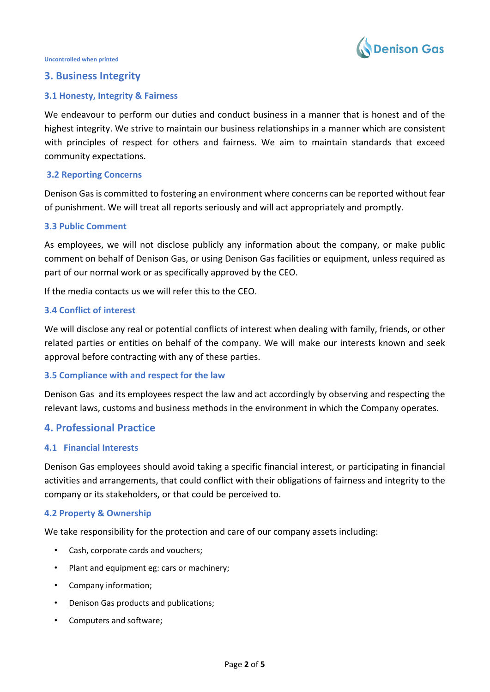

# **3. Business Integrity**

## **3.1 Honesty, Integrity & Fairness**

We endeavour to perform our duties and conduct business in a manner that is honest and of the highest integrity. We strive to maintain our business relationships in a manner which are consistent with principles of respect for others and fairness. We aim to maintain standards that exceed community expectations.

## **3.2 Reporting Concerns**

Denison Gas is committed to fostering an environment where concerns can be reported without fear of punishment. We will treat all reports seriously and will act appropriately and promptly.

## **3.3 Public Comment**

As employees, we will not disclose publicly any information about the company, or make public comment on behalf of Denison Gas, or using Denison Gas facilities or equipment, unless required as part of our normal work or as specifically approved by the CEO.

If the media contacts us we will refer this to the CEO.

## **3.4 Conflict of interest**

We will disclose any real or potential conflicts of interest when dealing with family, friends, or other related parties or entities on behalf of the company. We will make our interests known and seek approval before contracting with any of these parties.

## **3.5 Compliance with and respect for the law**

Denison Gas and its employees respect the law and act accordingly by observing and respecting the relevant laws, customs and business methods in the environment in which the Company operates.

# **4. Professional Practice**

## **4.1 Financial Interests**

Denison Gas employees should avoid taking a specific financial interest, or participating in financial activities and arrangements, that could conflict with their obligations of fairness and integrity to the company or its stakeholders, or that could be perceived to.

## **4.2 Property & Ownership**

We take responsibility for the protection and care of our company assets including:

- Cash, corporate cards and vouchers;
- Plant and equipment eg: cars or machinery;
- Company information;
- Denison Gas products and publications;
- Computers and software;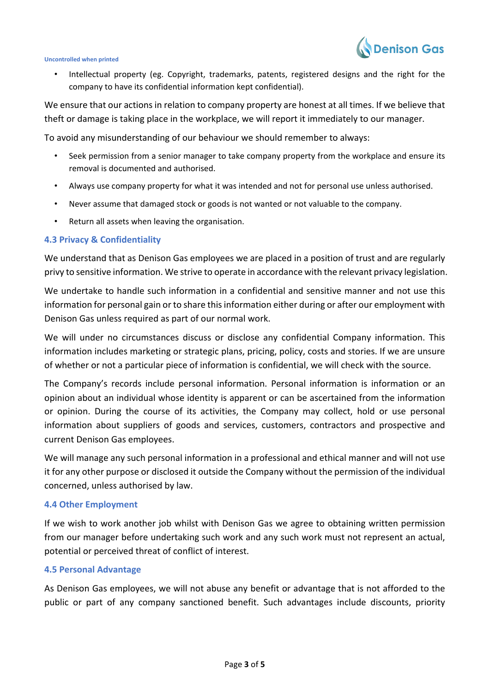

• Intellectual property (eg. Copyright, trademarks, patents, registered designs and the right for the company to have its confidential information kept confidential).

We ensure that our actions in relation to company property are honest at all times. If we believe that theft or damage is taking place in the workplace, we will report it immediately to our manager.

To avoid any misunderstanding of our behaviour we should remember to always:

- Seek permission from a senior manager to take company property from the workplace and ensure its removal is documented and authorised.
- Always use company property for what it was intended and not for personal use unless authorised.
- Never assume that damaged stock or goods is not wanted or not valuable to the company.
- Return all assets when leaving the organisation.

#### **4.3 Privacy & Confidentiality**

We understand that as Denison Gas employees we are placed in a position of trust and are regularly privy to sensitive information. We strive to operate in accordance with the relevant privacy legislation.

We undertake to handle such information in a confidential and sensitive manner and not use this information for personal gain or to share this information either during or after our employment with Denison Gas unless required as part of our normal work.

We will under no circumstances discuss or disclose any confidential Company information. This information includes marketing or strategic plans, pricing, policy, costs and stories. If we are unsure of whether or not a particular piece of information is confidential, we will check with the source.

The Company's records include personal information. Personal information is information or an opinion about an individual whose identity is apparent or can be ascertained from the information or opinion. During the course of its activities, the Company may collect, hold or use personal information about suppliers of goods and services, customers, contractors and prospective and current Denison Gas employees.

We will manage any such personal information in a professional and ethical manner and will not use it for any other purpose or disclosed it outside the Company without the permission of the individual concerned, unless authorised by law.

#### **4.4 Other Employment**

If we wish to work another job whilst with Denison Gas we agree to obtaining written permission from our manager before undertaking such work and any such work must not represent an actual, potential or perceived threat of conflict of interest.

#### **4.5 Personal Advantage**

As Denison Gas employees, we will not abuse any benefit or advantage that is not afforded to the public or part of any company sanctioned benefit. Such advantages include discounts, priority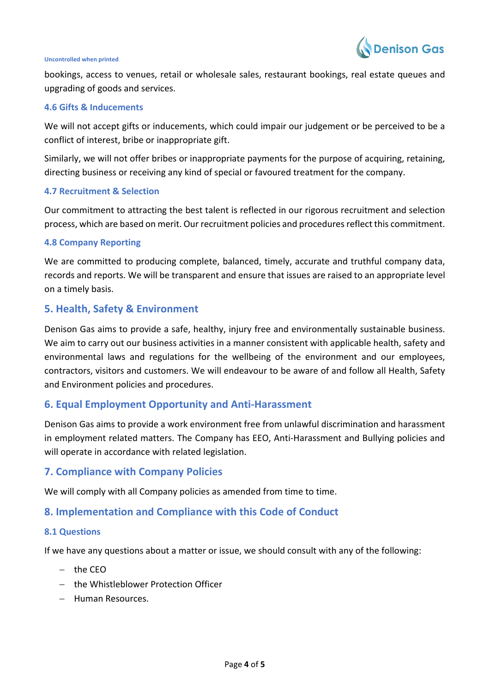

bookings, access to venues, retail or wholesale sales, restaurant bookings, real estate queues and upgrading of goods and services.

#### **4.6 Gifts & Inducements**

We will not accept gifts or inducements, which could impair our judgement or be perceived to be a conflict of interest, bribe or inappropriate gift.

Similarly, we will not offer bribes or inappropriate payments for the purpose of acquiring, retaining, directing business or receiving any kind of special or favoured treatment for the company.

#### **4.7 Recruitment & Selection**

Our commitment to attracting the best talent is reflected in our rigorous recruitment and selection process, which are based on merit. Our recruitment policies and procedures reflect this commitment.

#### **4.8 Company Reporting**

We are committed to producing complete, balanced, timely, accurate and truthful company data, records and reports. We will be transparent and ensure that issues are raised to an appropriate level on a timely basis.

## **5. Health, Safety & Environment**

Denison Gas aims to provide a safe, healthy, injury free and environmentally sustainable business. We aim to carry out our business activities in a manner consistent with applicable health, safety and environmental laws and regulations for the wellbeing of the environment and our employees, contractors, visitors and customers. We will endeavour to be aware of and follow all Health, Safety and Environment policies and procedures.

## **6. Equal Employment Opportunity and Anti-Harassment**

Denison Gas aims to provide a work environment free from unlawful discrimination and harassment in employment related matters. The Company has EEO, Anti-Harassment and Bullying policies and will operate in accordance with related legislation.

## **7. Compliance with Company Policies**

We will comply with all Company policies as amended from time to time.

# **8. Implementation and Compliance with this Code of Conduct**

#### **8.1 Questions**

If we have any questions about a matter or issue, we should consult with any of the following:

- − the CEO
- − the Whistleblower Protection Officer
- − Human Resources.